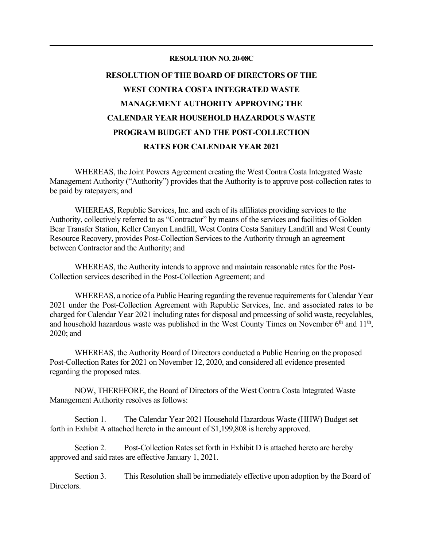#### **RESOLUTION NO. 20-08C**

# **RESOLUTION OF THE BOARD OF DIRECTORS OF THE WEST CONTRA COSTA INTEGRATED WASTE MANAGEMENT AUTHORITY APPROVING THE CALENDAR YEAR HOUSEHOLD HAZARDOUS WASTE PROGRAM BUDGET AND THE POST-COLLECTION RATES FOR CALENDAR YEAR 2021**

WHEREAS, the Joint Powers Agreement creating the West Contra Costa Integrated Waste Management Authority ("Authority") provides that the Authority is to approve post-collection rates to be paid by ratepayers; and

WHEREAS, Republic Services, Inc. and each of its affiliates providing services to the Authority, collectively referred to as "Contractor" by means of the services and facilities of Golden Bear Transfer Station, Keller Canyon Landfill, West Contra Costa Sanitary Landfill and West County Resource Recovery, provides Post-Collection Services to the Authority through an agreement between Contractor and the Authority; and

WHEREAS, the Authority intends to approve and maintain reasonable rates for the Post-Collection services described in the Post-Collection Agreement; and

WHEREAS, a notice of a Public Hearing regarding the revenue requirements for Calendar Year 2021 under the Post-Collection Agreement with Republic Services, Inc. and associated rates to be charged for Calendar Year 2021 including rates for disposal and processing of solid waste, recyclables, and household hazardous waste was published in the West County Times on November  $6<sup>th</sup>$  and  $11<sup>th</sup>$ , 2020; and

WHEREAS, the Authority Board of Directors conducted a Public Hearing on the proposed Post-Collection Rates for 2021 on November 12, 2020, and considered all evidence presented regarding the proposed rates.

NOW, THEREFORE, the Board of Directors of the West Contra Costa Integrated Waste Management Authority resolves as follows:

Section 1. The Calendar Year 2021 Household Hazardous Waste (HHW) Budget set forth in Exhibit A attached hereto in the amount of \$1,199,808 is hereby approved.

Section 2. Post-Collection Rates set forth in Exhibit D is attached hereto are hereby approved and said rates are effective January 1, 2021.

Section 3. This Resolution shall be immediately effective upon adoption by the Board of Directors.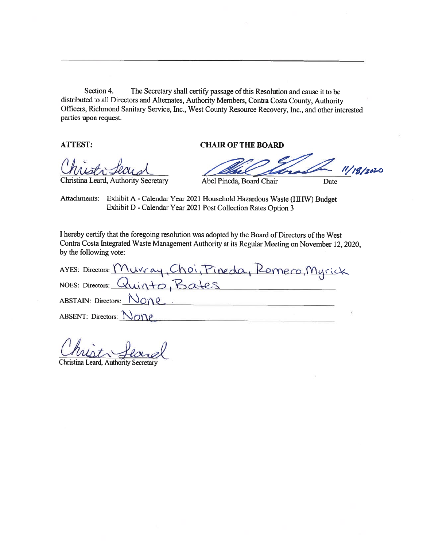Section 4. The Secretary shall certify passage of this Resolution and cause it to be distributed to all Directors and Alternates, Authority Members, Contra Costa County, Authority Officers, Richmond Sanitary Service, Inc., West County Resource Recovery, Inc., and other interested parties upon request.

**ATTEST:** 

### **CHAIR OF THE BOARD**

Christina Leard, Authority Secretary

 $11/18/2020$ Abel Pineda, Board Chair Date

Attachments: Exhibit A - Calendar Year 2021 Household Hazardous Waste (HHW) Budget Exhibit D - Calendar Year 2021 Post Collection Rates Option 3

I hereby certify that the foregoing resolution was adopted by the Board of Directors of the West Contra Costa Integrated Waste Management Authority at its Regular Meeting on November 12, 2020, by the following vote:

AYES: Directors: <u>Murray, Choi, Pineda, Romero, Myrick</u><br>NOES: Directors: Quinto, Bates ABSTAIN: Directors: None ABSENT: Directors:  $N_{OP}$ 

Christina Leard, Authority Secretary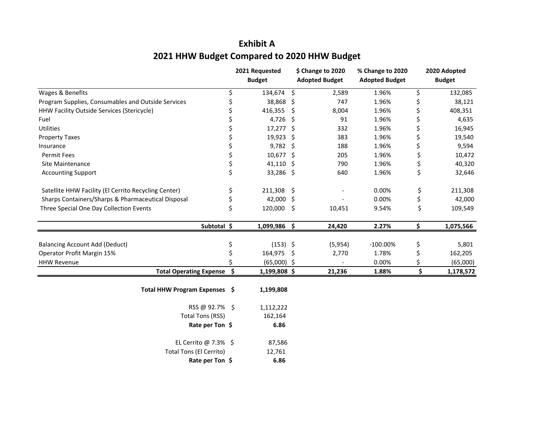## **Exhibit A2021 HHW Budget Compared to 2020 HHW Budget**

|                                                      |                 | 2021 Requested<br><b>Budget</b> |    | \$ Change to 2020<br><b>Adopted Budget</b> | % Change to 2020<br><b>Adopted Budget</b> | 2020 Adopted<br><b>Budget</b> |
|------------------------------------------------------|-----------------|---------------------------------|----|--------------------------------------------|-------------------------------------------|-------------------------------|
| Wages & Benefits                                     | \$              | 134,674 \$                      |    | 2,589                                      | 1.96%                                     | \$<br>132,085                 |
| Program Supplies, Consumables and Outside Services   | \$              | 38,868 \$                       |    | 747                                        | 1.96%                                     | \$<br>38,121                  |
| HHW Facility Outside Services (Stericycle)           |                 | 416,355                         | S. | 8,004                                      | 1.96%                                     | \$<br>408,351                 |
| Fuel                                                 | \$              | 4,726 \$                        |    | 91                                         | 1.96%                                     | \$<br>4,635                   |
| <b>Utilities</b>                                     | \$              | 17,277 \$                       |    | 332                                        | 1.96%                                     | \$<br>16,945                  |
| <b>Property Taxes</b>                                | \$              | 19,923 \$                       |    | 383                                        | 1.96%                                     | \$<br>19,540                  |
| Insurance                                            | \$              | $9,782$ \$                      |    | 188                                        | 1.96%                                     | \$<br>9,594                   |
| <b>Permit Fees</b>                                   | \$              | 10,677 \$                       |    | 205                                        | 1.96%                                     | \$<br>10,472                  |
| Site Maintenance                                     | \$              | 41,110 \$                       |    | 790                                        | 1.96%                                     | \$<br>40,320                  |
| <b>Accounting Support</b>                            | \$              | 33,286 \$                       |    | 640                                        | 1.96%                                     | \$<br>32,646                  |
| Satellite HHW Facility (El Cerrito Recycling Center) | \$              | 211,308                         | \$ |                                            | 0.00%                                     | \$<br>211,308                 |
| Sharps Containers/Sharps & Pharmaceutical Disposal   | \$              | 42,000 \$                       |    |                                            | 0.00%                                     | \$<br>42,000                  |
| Three Special One Day Collection Events              | \$              | 120,000                         | -S | 10,451                                     | 9.54%                                     | \$<br>109,549                 |
|                                                      | Subtotal \$     | 1,099,986 \$                    |    | 24,420                                     | 2.27%                                     | \$<br>1,075,566               |
| <b>Balancing Account Add (Deduct)</b>                | \$              | $(153)$ \$                      |    | (5,954)                                    | $-100.00\%$                               | \$<br>5,801                   |
| Operator Profit Margin 15%                           | \$              | 164,975                         | S. | 2,770                                      | 1.78%                                     | \$<br>162,205                 |
| <b>HHW Revenue</b>                                   |                 | $(65,000)$ \$                   |    |                                            | 0.00%                                     | \$<br>(65,000)                |
| <b>Total Operating Expense</b>                       | \$              | 1,199,808 \$                    |    | 21,236                                     | 1.88%                                     | \$<br>1,178,572               |
| Total HHW Program Expenses \$                        |                 | 1,199,808                       |    |                                            |                                           |                               |
|                                                      | RSS @ 92.7% \$  | 1,112,222                       |    |                                            |                                           |                               |
| <b>Total Tons (RSS)</b>                              |                 | 162,164                         |    |                                            |                                           |                               |
|                                                      | Rate per Ton \$ | 6.86                            |    |                                            |                                           |                               |
| EL Cerrito @ 7.3% \$                                 |                 | 87,586                          |    |                                            |                                           |                               |
| Total Tons (El Cerrito)                              |                 | 12,761                          |    |                                            |                                           |                               |
|                                                      | Rate per Ton \$ | 6.86                            |    |                                            |                                           |                               |